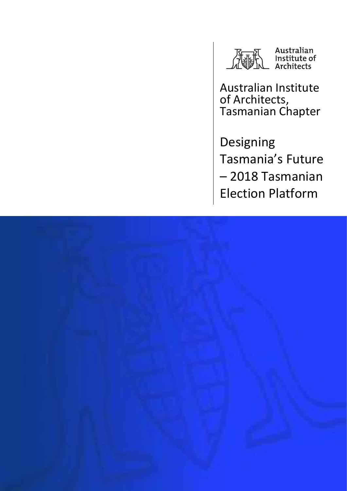

Australian Institute of Architects, Tasmanian Chapter

Designing Tasmania's Future – 2018 Tasmanian Election Platform

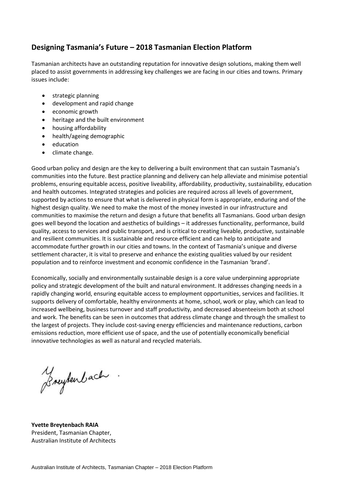# **Designing Tasmania's Future – 2018 Tasmanian Election Platform**

Tasmanian architects have an outstanding reputation for innovative design solutions, making them well placed to assist governments in addressing key challenges we are facing in our cities and towns. Primary issues include:

- strategic planning
- development and rapid change
- economic growth
- heritage and the built environment
- housing affordability
- health/ageing demographic
- education
- climate change.

Good urban policy and design are the key to delivering a built environment that can sustain Tasmania's communities into the future. Best practice planning and delivery can help alleviate and minimise potential problems, ensuring equitable access, positive liveability, affordability, productivity, sustainability, education and health outcomes. Integrated strategies and policies are required across all levels of government, supported by actions to ensure that what is delivered in physical form is appropriate, enduring and of the highest design quality. We need to make the most of the money invested in our infrastructure and communities to maximise the return and design a future that benefits all Tasmanians. Good urban design goes well beyond the location and aesthetics of buildings – it addresses functionality, performance, build quality, access to services and public transport, and is critical to creating liveable, productive, sustainable and resilient communities. It is sustainable and resource efficient and can help to anticipate and accommodate further growth in our cities and towns. In the context of Tasmania's unique and diverse settlement character, it is vital to preserve and enhance the existing qualities valued by our resident population and to reinforce investment and economic confidence in the Tasmanian 'brand'.

Economically, socially and environmentally sustainable design is a core value underpinning appropriate policy and strategic development of the built and natural environment. It addresses changing needs in a rapidly changing world, ensuring equitable access to employment opportunities, services and facilities. It supports delivery of comfortable, healthy environments at home, school, work or play, which can lead to increased wellbeing, business turnover and staff productivity, and decreased absenteeism both at school and work. The benefits can be seen in outcomes that address climate change and through the smallest to the largest of projects. They include cost-saving energy efficiencies and maintenance reductions, carbon emissions reduction, more efficient use of space, and the use of potentially economically beneficial innovative technologies as well as natural and recycled materials.

Bruytenbach

**Yvette Breytenbach RAIA** President, Tasmanian Chapter, Australian Institute of Architects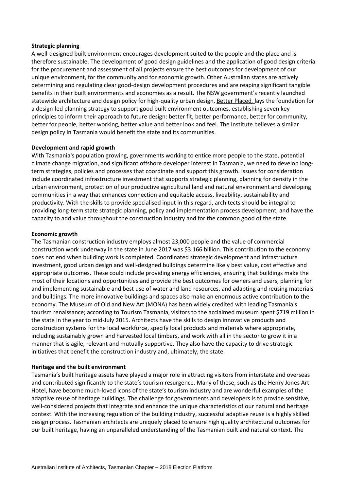## **Strategic planning**

A well-designed built environment encourages development suited to the people and the place and is therefore sustainable. The development of good design guidelines and the application of good design criteria for the procurement and assessment of all projects ensure the best outcomes for development of our unique environment, for the community and for economic growth. Other Australian states are actively determining and regulating clear good-design development procedures and are reaping significant tangible benefits in their built environments and economies as a result. The NSW government's recently launched statewide architecture and design policy for high-quality urban design[, Better Placed](http://www.governmentarchitect.nsw.gov.au/thinking/integrated-design-policy)*,* lays the foundation for a design-led planning strategy to support good built environment outcomes, establishing seven key principles to inform their approach to future design: better fit, better performance, better for community, better for people, better working, better value and better look and feel. The Institute believes a similar design policy in Tasmania would benefit the state and its communities.

# **Development and rapid growth**

With Tasmania's population growing, governments working to entice more people to the state, potential climate change migration, and significant offshore developer interest in Tasmania, we need to develop longterm strategies, policies and processes that coordinate and support this growth. Issues for consideration include coordinated infrastructure investment that supports strategic planning, planning for density in the urban environment, protection of our productive agricultural land and natural environment and developing communities in a way that enhances connection and equitable access, liveability, sustainability and productivity. With the skills to provide specialised input in this regard, architects should be integral to providing long-term state strategic planning, policy and implementation process development, and have the capacity to add value throughout the construction industry and for the common good of the state.

## **Economic growth**

The Tasmanian construction industry employs almost 23,000 people and the value of commercial construction work underway in the state in June 2017 was \$3.166 billion. This contribution to the economy does not end when building work is completed. Coordinated strategic development and infrastructure investment, good urban design and well-designed buildings determine likely best value, cost effective and appropriate outcomes. These could include providing energy efficiencies, ensuring that buildings make the most of their locations and opportunities and provide the best outcomes for owners and users, planning for and implementing sustainable and best use of water and land resources, and adapting and reusing materials and buildings. The more innovative buildings and spaces also make an enormous active contribution to the economy. The Museum of Old and New Art (MONA) has been widely credited with leading Tasmania's tourism renaissance; according to Tourism Tasmania, visitors to the acclaimed museum spent \$719 million in the state in the year to mid-July 2015. Architects have the skills to design innovative products and construction systems for the local workforce, specify local products and materials where appropriate, including sustainably grown and harvested local timbers, and work with all in the sector to grow it in a manner that is agile, relevant and mutually supportive. They also have the capacity to drive strategic initiatives that benefit the construction industry and, ultimately, the state.

### **Heritage and the built environment**

Tasmania's built heritage assets have played a major role in attracting visitors from interstate and overseas and contributed significantly to the state's tourism resurgence. Many of these, such as the Henry Jones Art Hotel, have become much-loved icons of the state's tourism industry and are wonderful examples of the adaptive reuse of heritage buildings. The challenge for governments and developers is to provide sensitive, well-considered projects that integrate and enhance the unique characteristics of our natural and heritage context. With the increasing regulation of the building industry, successful adaptive reuse is a highly skilled design process. Tasmanian architects are uniquely placed to ensure high quality architectural outcomes for our built heritage, having an unparalleled understanding of the Tasmanian built and natural context. The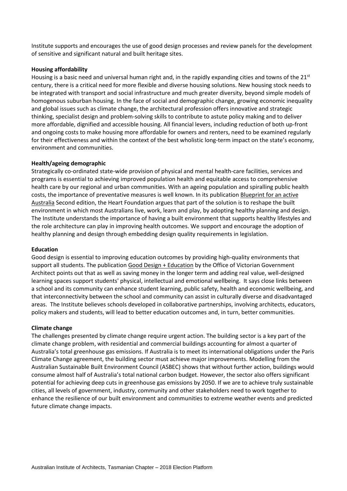Institute supports and encourages the use of good design processes and review panels for the development of sensitive and significant natural and built heritage sites.

## **Housing affordability**

Housing is a basic need and universal human right and, in the rapidly expanding cities and towns of the 21<sup>st</sup> century, there is a critical need for more flexible and diverse housing solutions. New housing stock needs to be integrated with transport and social infrastructure and much greater diversity, beyond simple models of homogenous suburban housing. In the face of social and demographic change, growing economic inequality and global issues such as climate change, the architectural profession offers innovative and strategic thinking, specialist design and problem-solving skills to contribute to astute policy making and to deliver more affordable, dignified and accessible housing. All financial levers, including reduction of both up-front and ongoing costs to make housing more affordable for owners and renters, need to be examined regularly for their effectiveness and within the context of the best wholistic long-term impact on the state's economy, environment and communities.

## **Health/ageing demographic**

Strategically co-ordinated state-wide provision of physical and mental health-care facilities, services and programs is essential to achieving improved population health and equitable access to comprehensive health care by our regional and urban communities. With an ageing population and spiralling public health costs, the importance of preventative measures is well known. In its publicatio[n Blueprint for an active](https://www.heartfoundation.org.au/images/uploads/publications/Blueprint-for-an-active-Australia-second-edition.pdf)  [Australia](https://www.heartfoundation.org.au/images/uploads/publications/Blueprint-for-an-active-Australia-second-edition.pdf) Second edition, the Heart Foundation argues that part of the solution is to reshape the built environment in which most Australians live, work, learn and play, by adopting healthy planning and design. The Institute understands the importance of having a built environment that supports healthy lifestyles and the role architecture can play in improving health outcomes. We support and encourage the adoption of healthy planning and design through embedding design quality requirements in legislation.

### **Education**

Good design is essential to improving education outcomes by providing high-quality environments that support all students. The publication [Good Design + Education](http://www.ovga.vic.gov.au/news/97-good-design-education.html) by the Office of Victorian Government Architect points out that as well as saving money in the longer term and adding real value, well-designed learning spaces support students' physical, intellectual and emotional wellbeing. It says close links between a school and its community can enhance student learning, public safety, health and economic wellbeing, and that interconnectivity between the school and community can assist in culturally diverse and disadvantaged areas. The Institute believes schools developed in collaborative partnerships, involving architects, educators, policy makers and students, will lead to better education outcomes and, in turn, better communities.

### **Climate change**

The challenges presented by climate change require urgent action. The building sector is a key part of the climate change problem, with residential and commercial buildings accounting for almost a quarter of Australia's total greenhouse gas emissions. If Australia is to meet its international obligations under the Paris Climate Change agreement, the building sector must achieve major improvements. Modelling from the Australian Sustainable Built Environment Council (ASBEC) shows that without further action, buildings would consume almost half of Australia's total national carbon budget. However, the sector also offers significant potential for achieving deep cuts in greenhouse gas emissions by 2050. If we are to achieve truly sustainable cities, all levels of government, industry, community and other stakeholders need to work together to enhance the resilience of our built environment and communities to extreme weather events and predicted future climate change impacts.